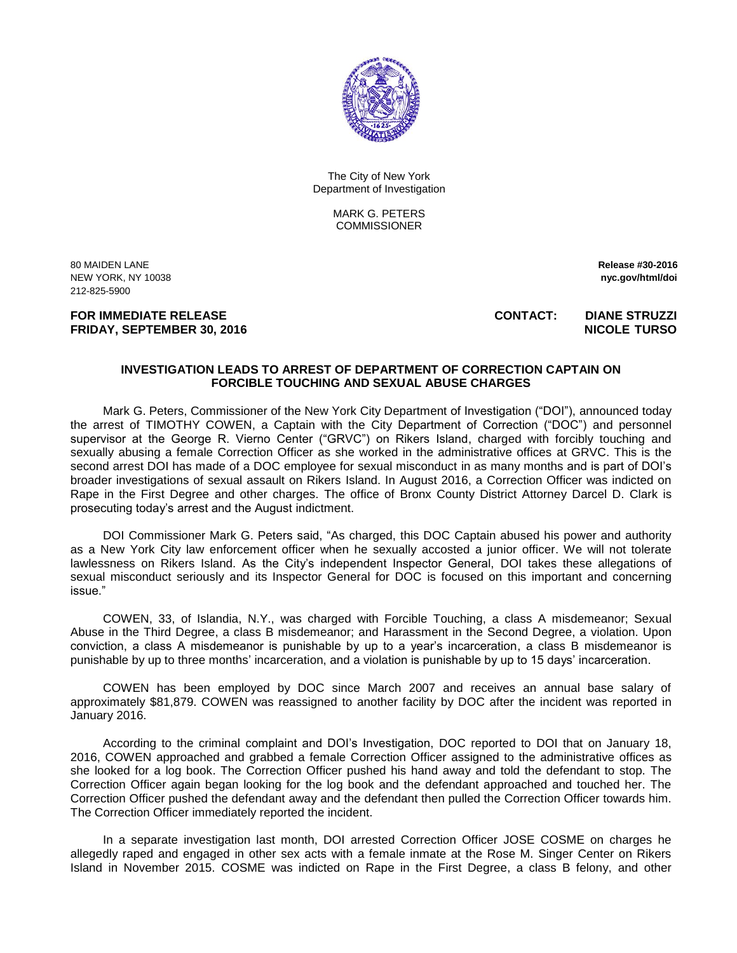

The City of New York Department of Investigation

> MARK G. PETERS **COMMISSIONER**

80 MAIDEN LANE **Release #30-2016**  NEW YORK, NY 10038 **nyc.gov/html/doi**  212-825-5900

**FRIDAY, SEPTEMBER 30, 2016** NICOLE TURSO

**FOR IMMEDIATE RELEASE CONTACT: DIANE STRUZZI** 

## **INVESTIGATION LEADS TO ARREST OF DEPARTMENT OF CORRECTION CAPTAIN ON FORCIBLE TOUCHING AND SEXUAL ABUSE CHARGES**

Mark G. Peters, Commissioner of the New York City Department of Investigation ("DOI"), announced today the arrest of TIMOTHY COWEN, a Captain with the City Department of Correction ("DOC") and personnel supervisor at the George R. Vierno Center ("GRVC") on Rikers Island, charged with forcibly touching and sexually abusing a female Correction Officer as she worked in the administrative offices at GRVC. This is the second arrest DOI has made of a DOC employee for sexual misconduct in as many months and is part of DOI's broader investigations of sexual assault on Rikers Island. In August 2016, a Correction Officer was indicted on Rape in the First Degree and other charges. The office of Bronx County District Attorney Darcel D. Clark is prosecuting today's arrest and the August indictment.

DOI Commissioner Mark G. Peters said, "As charged, this DOC Captain abused his power and authority as a New York City law enforcement officer when he sexually accosted a junior officer. We will not tolerate lawlessness on Rikers Island. As the City's independent Inspector General, DOI takes these allegations of sexual misconduct seriously and its Inspector General for DOC is focused on this important and concerning issue."

COWEN, 33, of Islandia, N.Y., was charged with Forcible Touching, a class A misdemeanor; Sexual Abuse in the Third Degree, a class B misdemeanor; and Harassment in the Second Degree, a violation. Upon conviction, a class A misdemeanor is punishable by up to a year's incarceration, a class B misdemeanor is punishable by up to three months' incarceration, and a violation is punishable by up to 15 days' incarceration.

COWEN has been employed by DOC since March 2007 and receives an annual base salary of approximately \$81,879. COWEN was reassigned to another facility by DOC after the incident was reported in January 2016.

According to the criminal complaint and DOI's Investigation, DOC reported to DOI that on January 18, 2016, COWEN approached and grabbed a female Correction Officer assigned to the administrative offices as she looked for a log book. The Correction Officer pushed his hand away and told the defendant to stop. The Correction Officer again began looking for the log book and the defendant approached and touched her. The Correction Officer pushed the defendant away and the defendant then pulled the Correction Officer towards him. The Correction Officer immediately reported the incident.

In a separate investigation last month, DOI arrested Correction Officer JOSE COSME on charges he allegedly raped and engaged in other sex acts with a female inmate at the Rose M. Singer Center on Rikers Island in November 2015. COSME was indicted on Rape in the First Degree, a class B felony, and other